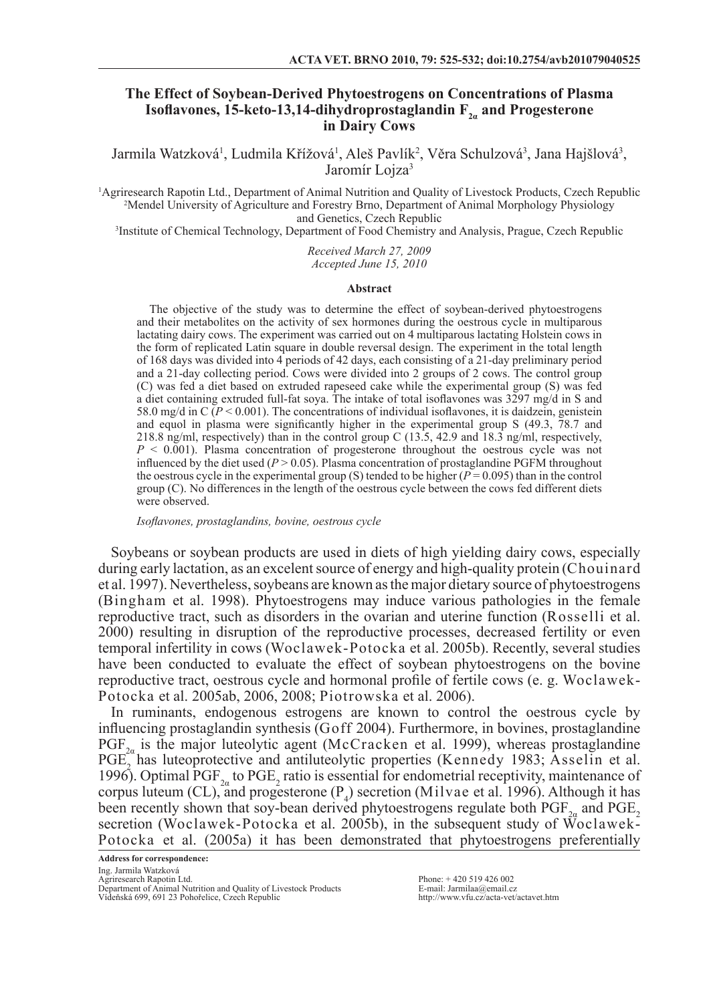# **The Effect of Soybean-Derived Phytoestrogens on Concentrations of Plasma Isoflavones, 15-keto-13,14-dihydroprostaglandin F<sub>2</sub> and Progesterone in Dairy Cows**

Jarmila Watzková<sup>1</sup>, Ludmila Křížová<sup>1</sup>, Aleš Pavlík<sup>2</sup>, Věra Schulzová<sup>3</sup>, Jana Hajšlová<sup>3</sup>, Jaromír Lojza<sup>3</sup>

1 Agriresearch Rapotin Ltd., Department of Animal Nutrition and Quality of Livestock Products, Czech Republic 2 Mendel University of Agriculture and Forestry Brno, Department of Animal Morphology Physiology and Genetics, Czech Republic

3 Institute of Chemical Technology, Department of Food Chemistry and Analysis, Prague, Czech Republic

*Received March 27, 2009 Accepted June 15, 2010*

#### **Abstract**

The objective of the study was to determine the effect of soybean-derived phytoestrogens and their metabolites on the activity of sex hormones during the oestrous cycle in multiparous lactating dairy cows. The experiment was carried out on 4 multiparous lactating Holstein cows in the form of replicated Latin square in double reversal design. The experiment in the total length of 168 days was divided into 4 periods of 42 days, each consisting of a 21-day preliminary period and a 21-day collecting period. Cows were divided into 2 groups of 2 cows. The control group (C) was fed a diet based on extruded rapeseed cake while the experimental group (S) was fed a diet containing extruded full-fat soya. The intake of total isoflavones was 3297 mg/d in S and 58.0 mg/d in C  $(P \le 0.001)$ . The concentrations of individual isoflavones, it is daidzein, genistein and equol in plasma were significantly higher in the experimental group S  $(49.3, 78.7, 78.7)$ 218.8 ng/ml, respectively) than in the control group C (13.5, 42.9 and 18.3 ng/ml, respectively,  $P \le 0.001$ ). Plasma concentration of progesterone throughout the oestrous cycle was not influenced by the diet used  $(P > 0.05)$ . Plasma concentration of prostaglandine PGFM throughout the oestrous cycle in the experimental group (S) tended to be higher  $(P = 0.095)$  than in the control group (C). No differences in the length of the oestrous cycle between the cows fed different diets were observed.

*Isoflavones, prostaglandins, bovine, oestrous cycle*

Soybeans or soybean products are used in diets of high yielding dairy cows, especially during early lactation, as an excelent source of energy and high-quality protein (Chouinard et al. 1997). Nevertheless, soybeans are known as the major dietary source of phytoestrogens (Bingham et al. 1998). Phytoestrogens may induce various pathologies in the female reproductive tract, such as disorders in the ovarian and uterine function (Rosselli et al. 2000) resulting in disruption of the reproductive processes, decreased fertility or even temporal infertility in cows (Woclawek-Potocka et al. 2005b). Recently, several studies have been conducted to evaluate the effect of soybean phytoestrogens on the bovine reproductive tract, oestrous cycle and hormonal profile of fertile cows (e. g. Woclawek-Potocka et al. 2005ab, 2006, 2008; Piotrowska et al. 2006).

In ruminants, endogenous estrogens are known to control the oestrous cycle by influencing prostaglandin synthesis (Goff 2004). Furthermore, in bovines, prostaglandine  $PGF_{2a}$  is the major luteolytic agent (McCracken et al. 1999), whereas prostaglandine PGE<sub>2</sub> has luteoprotective and antiluteolytic properties (Kennedy 1983; Asselin et al. 1996). Optimal PGF<sub>2 $\alpha$ </sub> to PGE<sub>2</sub> ratio is essential for endometrial receptivity, maintenance of corpus luteum (CL), and progesterone  $(P_4)$  secretion (Milvae et al. 1996). Although it has been recently shown that soy-bean derived phytoestrogens regulate both  $PGF_{2a}$  and  $PGE_{2a}$ secretion (Woclawek-Potocka et al. 2005b), in the subsequent study of Woclawek-Potocka et al. (2005a) it has been demonstrated that phytoestrogens preferentially

Phone: + 420 519 426 002 E-mail: Jarmilaa@email.cz http://www.vfu.cz/acta-vet/actavet.htm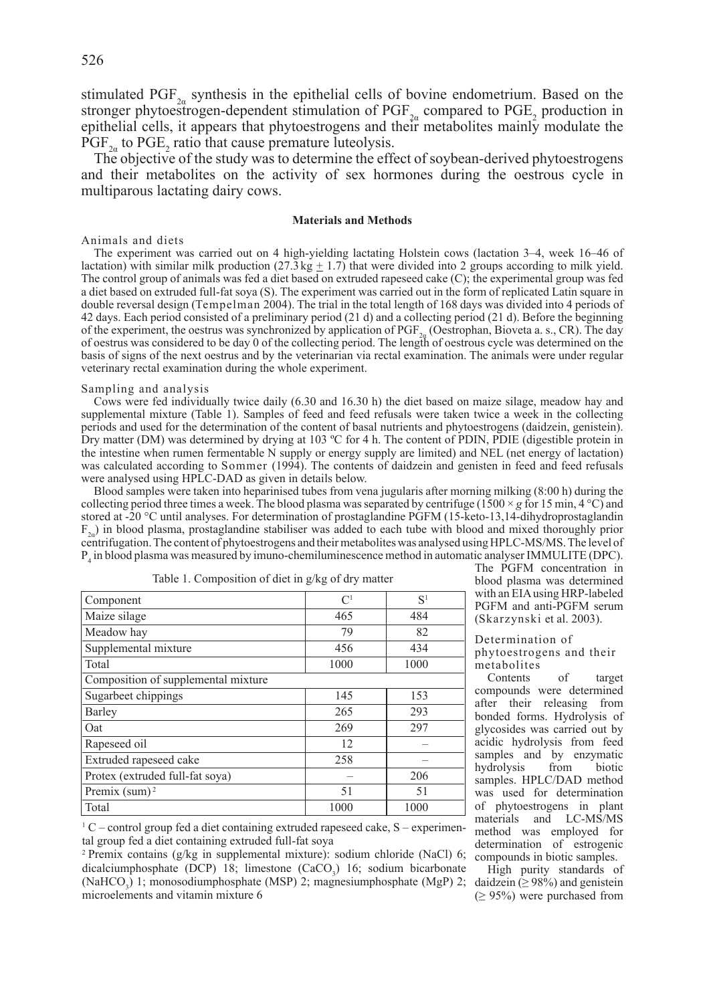stimulated  $PGF_{2a}$  synthesis in the epithelial cells of bovine endometrium. Based on the stronger phytoestrogen-dependent stimulation of  $PGF_{2\alpha}$  compared to  $PGE_2$  production in epithelial cells, it appears that phytoestrogens and their metabolites mainly modulate the  $PGF_{2\alpha}$  to  $PGE_2$  ratio that cause premature luteolysis.

The objective of the study was to determine the effect of soybean-derived phytoestrogens and their metabolites on the activity of sex hormones during the oestrous cycle in multiparous lactating dairy cows.

### **Materials and Methods**

### Animals and diets

The experiment was carried out on 4 high-yielding lactating Holstein cows (lactation 3–4, week 16–46 of lactation) with similar milk production  $(27.3 \text{ kg} \pm 1.7)$  that were divided into 2 groups according to milk yield. The control group of animals was fed a diet based on extruded rapeseed cake (C); the experimental group was fed a diet based on extruded full-fat soya (S). The experiment was carried out in the form of replicated Latin square in double reversal design (Tempelman 2004). The trial in the total length of 168 days was divided into 4 periods of 42 days. Each period consisted of a preliminary period (21 d) and a collecting period (21 d). Before the beginning of the experiment, the oestrus was synchronized by application of  $PGF_{2a}$  (Oestrophan, Bioveta a. s., CR). The day of oestrus was considered to be day 0 of the collecting period. The length of oestrous cycle was determined on the basis of signs of the next oestrus and by the veterinarian via rectal examination. The animals were under regular veterinary rectal examination during the whole experiment.

### Sampling and analysis

Cows were fed individually twice daily (6.30 and 16.30 h) the diet based on maize silage, meadow hay and supplemental mixture (Table 1). Samples of feed and feed refusals were taken twice a week in the collecting periods and used for the determination of the content of basal nutrients and phytoestrogens (daidzein, genistein). Dry matter (DM) was determined by drying at 103 ºC for 4 h. The content of PDIN, PDIE (digestible protein in the intestine when rumen fermentable N supply or energy supply are limited) and NEL (net energy of lactation) was calculated according to Sommer (1994). The contents of daidzein and genisten in feed and feed refusals were analysed using HPLC-DAD as given in details below.

Blood samples were taken into heparinised tubes from vena jugularis after morning milking (8:00 h) during the collecting period three times a week. The blood plasma was separated by centrifuge (1500  $\times$  *g* for 15 min, 4 °C) and stored at -20 °C until analyses. For determination of prostaglandine PGFM (15-keto-13,14-dihydroprostaglandin  $F<sub>2</sub>$ ) in blood plasma, prostaglandine stabiliser was added to each tube with blood and mixed thoroughly prior centrifugation. The content of phytoestrogens and their metabolites was analysed using HPLC-MS/MS. The level of P4 in blood plasma was measured by imuno-chemiluminescence method in automatic analyser IMMULITE (DPC).

| Component                           | $\mathcal{C}^1$ | S <sup>1</sup> |  |  |  |  |
|-------------------------------------|-----------------|----------------|--|--|--|--|
|                                     |                 |                |  |  |  |  |
| Maize silage                        | 465             | 484            |  |  |  |  |
| Meadow hay                          | 79              | 82             |  |  |  |  |
| Supplemental mixture                | 456             | 434            |  |  |  |  |
| Total                               | 1000            | 1000           |  |  |  |  |
| Composition of supplemental mixture |                 |                |  |  |  |  |
| Sugarbeet chippings                 | 145             | 153            |  |  |  |  |
| Barley                              | 265             | 293            |  |  |  |  |
| Oat                                 | 269             | 297            |  |  |  |  |
| Rapeseed oil                        | 12              |                |  |  |  |  |
| Extruded rapeseed cake              | 258             |                |  |  |  |  |
| Protex (extruded full-fat soya)     |                 | 206            |  |  |  |  |
| Premix $(sum)^2$                    | 51              | 51             |  |  |  |  |
| Total                               | 1000            | 1000           |  |  |  |  |

Table 1. Composition of diet in g/kg of dry matter

The PGFM concentration in blood plasma was determined with an EIA using HRP-labeled PGFM and anti-PGFM serum (Skarzynski et al. 2003).

Determination of phytoestrogens and their metabolites

Contents of target compounds were determined after their releasing from bonded forms. Hydrolysis of glycosides was carried out by acidic hydrolysis from feed samples and by enzymatic hydrolysis from biotic samples. HPLC/DAD method was used for determination of phytoestrogens in plant materials and LC-MS/MS method was employed for determination of estrogenic compounds in biotic samples.

 $1^1$  C – control group fed a diet containing extruded rapeseed cake, S – experimental group fed a diet containing extruded full-fat soya

<sup>2</sup> Premix contains (g/kg in supplemental mixture): sodium chloride (NaCl) 6; dicalciumphosphate (DCP) 18; limestone (CaCO<sub>3</sub>) 16; sodium bicarbonate (NaHCO<sub>3</sub>) 1; monosodiumphosphate (MSP) 2; magnesiumphosphate (MgP) 2; microelements and vitamin mixture 6

High purity standards of daidzein ( $\geq 98\%$ ) and genistein  $(≥ 95%)$  were purchased from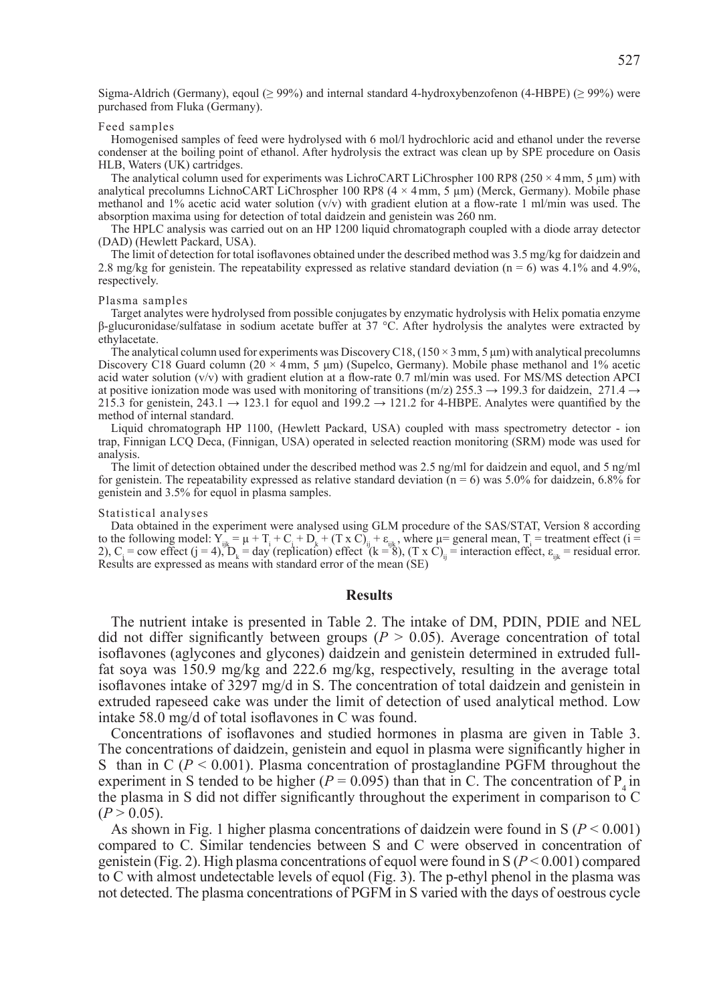Sigma-Aldrich (Germany), eqoul (≥ 99%) and internal standard 4-hydroxybenzofenon (4-HBPE) (≥ 99%) were purchased from Fluka (Germany).

### Feed samples

Homogenised samples of feed were hydrolysed with 6 mol/l hydrochloric acid and ethanol under the reverse condenser at the boiling point of ethanol. After hydrolysis the extract was clean up by SPE procedure on Oasis HLB, Waters (UK) cartridges.

The analytical column used for experiments was LichroCART LiChrospher 100 RP8 (250  $\times$  4mm, 5 um) with analytical precolumns LichnoCART LiChrospher 100 RP8  $(4 \times 4 \text{ mm}, 5 \mu \text{m})$  (Merck, Germany). Mobile phase methanol and 1% acetic acid water solution  $(v/v)$  with gradient elution at a flow-rate 1 ml/min was used. The absorption maxima using for detection of total daidzein and genistein was 260 nm.

The HPLC analysis was carried out on an HP 1200 liquid chromatograph coupled with a diode array detector (DAD) (Hewlett Packard, USA).

The limit of detection for total isoflavones obtained under the described method was 3.5 mg/kg for daidzein and 2.8 mg/kg for genistein. The repeatability expressed as relative standard deviation ( $n = 6$ ) was 4.1% and 4.9%, respectively.

### Plasma samples

Target analytes were hydrolysed from possible conjugates by enzymatic hydrolysis with Helix pomatia enzyme β-glucuronidase/sulfatase in sodium acetate buffer at 37 °C. After hydrolysis the analytes were extracted by ethylacetate.

The analytical column used for experiments was Discovery C18,  $(150 \times 3 \text{ mm}, 5 \text{ \mu m})$  with analytical precolumns Discovery C18 Guard column (20  $\times$  4 mm, 5  $\mu$ m) (Supelco, Germany). Mobile phase methanol and 1% acetic acid water solution (v/v) with gradient elution at a flow-rate 0.7 ml/min was used. For MS/MS detection APCI at positive ionization mode was used with monitoring of transitions (m/z) 255.3  $\rightarrow$  199.3 for daidzein, 271.4  $\rightarrow$ 215.3 for genistein, 243.1  $\rightarrow$  123.1 for equol and 199.2  $\rightarrow$  121.2 for 4-HBPE. Analytes were quantified by the method of internal standard.

Liquid chromatograph HP 1100, (Hewlett Packard, USA) coupled with mass spectrometry detector - ion trap, Finnigan LCQ Deca, (Finnigan, USA) operated in selected reaction monitoring (SRM) mode was used for analysis.

The limit of detection obtained under the described method was 2.5 ng/ml for daidzein and equol, and 5 ng/ml for genistein. The repeatability expressed as relative standard deviation ( $n = 6$ ) was 5.0% for daidzein, 6.8% for genistein and 3.5% for equol in plasma samples.

# Statistical analyses

Data obtained in the experiment were analysed using GLM procedure of the SAS/STAT, Version 8 according to the following model:  $Y_{ijk} = \mu + T_i + C_i + D_k + (T \times C)_{ij} + \varepsilon_{ijk}$ , where  $\mu$  = general mean,  $T_i$  = treatment effect (i = 2),  $C_i = \text{row effect (j = 4), } D_k = \text{day (replication) effect (k = 8), (T x C)}_i = \text{interaction effect}, \varepsilon_{ijk} = \text{residual error.}$ Results are expressed as means with standard error of the mean (SE)

# **Results**

The nutrient intake is presented in Table 2. The intake of DM, PDIN, PDIE and NEL did not differ significantly between groups ( $P > 0.05$ ). Average concentration of total isoflavones (aglycones and glycones) daidzein and genistein determined in extruded fullfat soya was 150.9 mg/kg and 222.6 mg/kg, respectively, resulting in the average total isoflavones intake of 3297 mg/d in S. The concentration of total daidzein and genistein in extruded rapeseed cake was under the limit of detection of used analytical method. Low intake 58.0 mg/d of total isoflavones in C was found.

Concentrations of isoflavones and studied hormones in plasma are given in Table 3. The concentrations of daidzein, genistein and equol in plasma were significantly higher in S than in  $C$  ( $P < 0.001$ ). Plasma concentration of prostaglandine PGFM throughout the experiment in S tended to be higher ( $P = 0.095$ ) than that in C. The concentration of  $P<sub>4</sub>$  in the plasma in S did not differ significantly throughout the experiment in comparison to C  $(P > 0.05)$ .

As shown in Fig. 1 higher plasma concentrations of daidzein were found in  $S (P \le 0.001)$ compared to C. Similar tendencies between S and C were observed in concentration of genistein (Fig. 2). High plasma concentrations of equol were found in S (*P* < 0.001) compared to C with almost undetectable levels of equol (Fig. 3). The p-ethyl phenol in the plasma was not detected. The plasma concentrations of PGFM in S varied with the days of oestrous cycle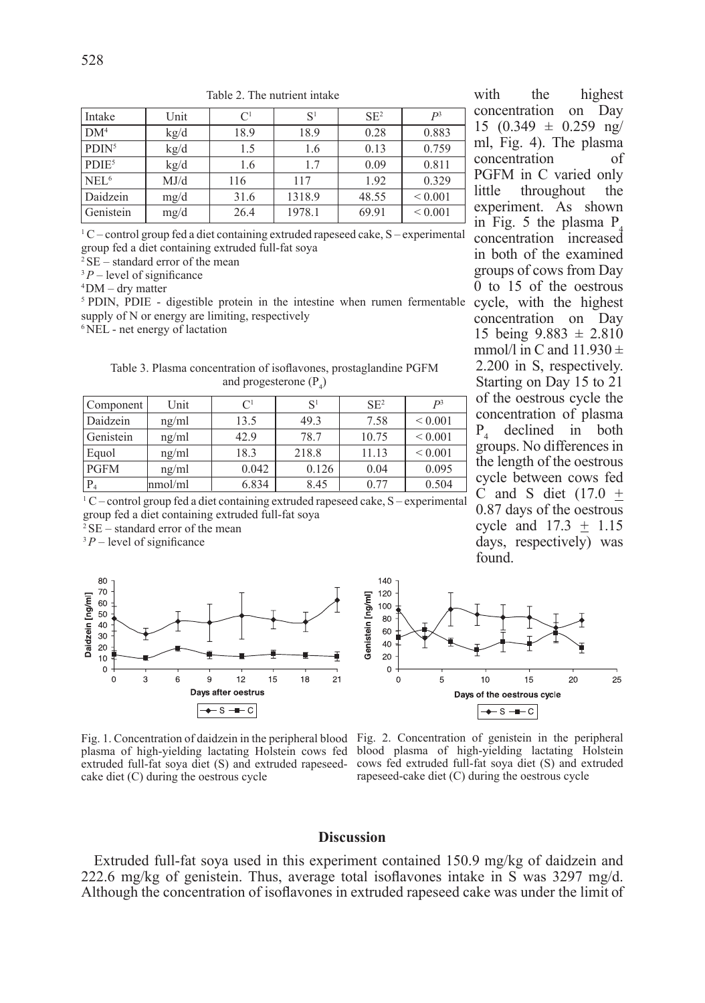| Intake                        | Unit | C <sup>1</sup> | S      | $SE^2$ | $P^3$        |
|-------------------------------|------|----------------|--------|--------|--------------|
| DM <sup>4</sup>               | kg/d | 18.9           | 18.9   | 0.28   | 0.883        |
| P <sub>DIN</sub> <sup>5</sup> | kg/d | 1.5            | 1.6    | 0.13   | 0.759        |
| PDIF <sup>5</sup>             | kg/d | 1.6            | 1.7    | 0.09   | 0.811        |
| NEL <sup>6</sup>              | MJ/d | 116            | 117    | 1.92   | 0.329        |
| Daidzein                      | mg/d | 31.6           | 1318.9 | 48.55  | ${}_{0.001}$ |
| Genistein                     | mg/d | 26.4           | 1978.1 | 69.91  | ${}_{0.001}$ |

Table 2. The nutrient intake

 $1^{\circ}$ C – control group fed a diet containing extruded rapeseed cake, S – experimental group fed a diet containing extruded full-fat soya

 $2SE$  – standard error of the mean

 $3P$  – level of significance

 $4$ DM – dry matter

<sup>5</sup> PDIN, PDIE - digestible protein in the intestine when rumen fermentable cycle, with the highest supply of N or energy are limiting, respectively

6 NEL - net energy of lactation

Table 3. Plasma concentration of isoflavones, prostaglandine PGFM and progesterone  $(P_4)$ 

| Component   | Unit    | $\mathcal{C}^1$ | S     | SE <sup>2</sup> | D <sup>3</sup> |
|-------------|---------|-----------------|-------|-----------------|----------------|
| Daidzein    | ng/ml   | 13.5            | 49.3  | 7.58            | ${}_{0.001}$   |
| Genistein   | ng/ml   | 42.9            | 78.7  | 10.75           | ${}_{0.001}$   |
| Equol       | ng/ml   | 18.3            | 218.8 | 11.13           | ${}_{0.001}$   |
| <b>PGFM</b> | ng/ml   | 0.042           | 0.126 | 0.04            | 0.095          |
| $P_4$       | nmol/ml | 6.834           | 8.45  | 0.77            | 0.504          |

1 C – control group fed a diet containing extruded rapeseed cake, S – experimental group fed a diet containing extruded full-fat soya

 $2$  SE – standard error of the mean

 $3P$  – level of significance



Fig. 1. Concentration of daidzein in the peripheral blood Fig. 2. Concentration of genistein in the peripheral plasma of high-yielding lactating Holstein cows fed blood plasma of high-yielding lactating Holstein extruded full-fat soya diet (S) and extruded rapeseed-cows fed extruded full-fat soya diet (S) and extruded cake diet (C) during the oestrous cycle

with the highest concentration on Day  $15$   $(0.349 \pm 0.259 \text{ ng/}$ ml, Fig. 4). The plasma concentration of PGFM in C varied only<br>little throughout the throughout experiment. As shown in Fig.  $5$  the plasma P. concentration increased in both of the examined groups of cows from Day  $\overline{0}$  to 15 of the oestrous concentration on Day 15 being  $9.883 \pm 2.810$ mmol/l in C and  $11.930 \pm$ 2.200 in S, respectively. Starting on Day 15 to 21 of the oestrous cycle the concentration of plasma  $P_4$  declined in both groups. No differences in the length of the oestrous cycle between cows fed C and S diet  $(17.0 +$ 0.87 days of the oestrous cycle and  $17.3 + 1.15$ days, respectively) was found.



rapeseed-cake diet (C) during the oestrous cycle

# **Discussion**

Extruded full-fat soya used in this experiment contained 150.9 mg/kg of daidzein and 222.6 mg/kg of genistein. Thus, average total isoflavones intake in S was 3297 mg/d. Although the concentration of isoflavones in extruded rapeseed cake was under the limit of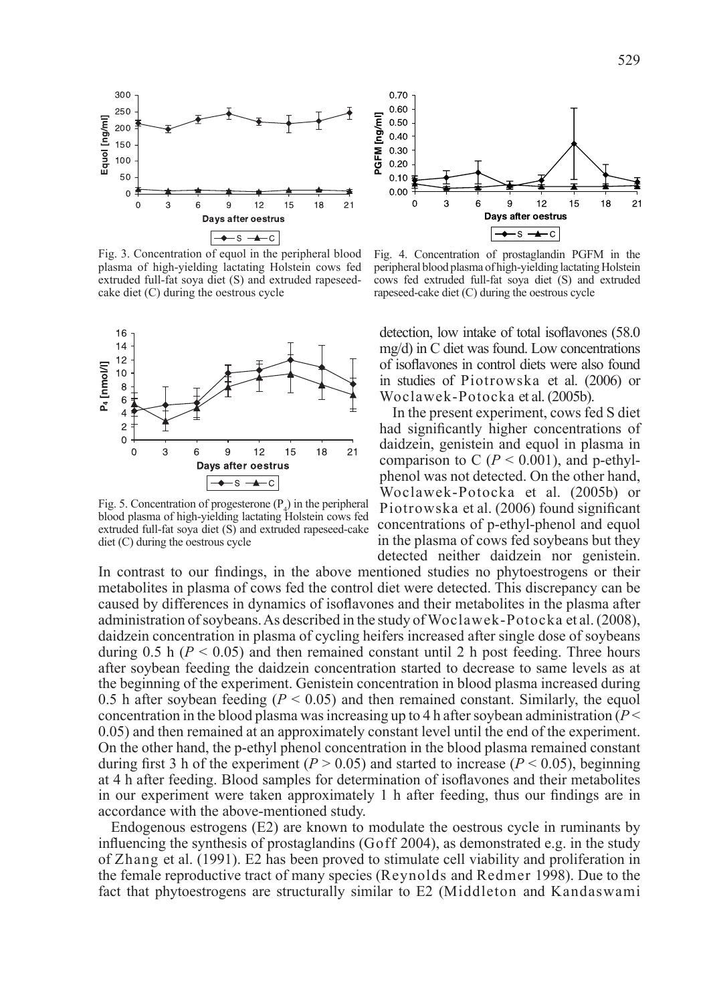

Fig. 3. Concentration of equol in the peripheral blood plasma of high-yielding lactating Holstein cows fed extruded full-fat soya diet (S) and extruded rapeseedcake diet (C) during the oestrous cycle



Fig. 5. Concentration of progesterone  $(P_4)$  in the peripheral blood plasma of high-yielding lactating Holstein cows fed extruded full-fat soya diet (S) and extruded rapeseed-cake diet (C) during the oestrous cycle



Fig. 4. Concentration of prostaglandin PGFM in the peripheral blood plasma of high-yielding lactating Holstein cows fed extruded full-fat soya diet (S) and extruded rapeseed-cake diet (C) during the oestrous cycle

detection, low intake of total isoflavones (58.0 mg/d) in C diet was found. Low concentrations of isoflavones in control diets were also found in studies of Piotrowska et al. (2006) or Woclawek-Potocka et al. (2005b).

In the present experiment, cows fed S diet had significantly higher concentrations of daidzein, genistein and equol in plasma in comparison to C ( $P < 0.001$ ), and p-ethylphenol was not detected. On the other hand, Woclawek-Potocka et al. (2005b) or Piotrowska et al. (2006) found significant concentrations of p-ethyl-phenol and equol in the plasma of cows fed soybeans but they detected neither daidzein nor genistein.

In contrast to our findings, in the above mentioned studies no phytoestrogens or their metabolites in plasma of cows fed the control diet were detected. This discrepancy can be caused by differences in dynamics of isoflavones and their metabolites in the plasma after administration of soybeans. As described in the study of Woclawek-Potocka et al. (2008), daidzein concentration in plasma of cycling heifers increased after single dose of soybeans during 0.5 h ( $P < 0.05$ ) and then remained constant until 2 h post feeding. Three hours after soybean feeding the daidzein concentration started to decrease to same levels as at the beginning of the experiment. Genistein concentration in blood plasma increased during 0.5 h after soybean feeding ( $P < 0.05$ ) and then remained constant. Similarly, the equol concentration in the blood plasma was increasing up to 4 h after soybean administration  $(P \leq$ 0.05) and then remained at an approximately constant level until the end of the experiment. On the other hand, the p-ethyl phenol concentration in the blood plasma remained constant during first 3 h of the experiment ( $P > 0.05$ ) and started to increase ( $P < 0.05$ ), beginning at 4 h after feeding. Blood samples for determination of isoflavones and their metabolites in our experiment were taken approximately 1 h after feeding, thus our findings are in accordance with the above-mentioned study.

Endogenous estrogens (E2) are known to modulate the oestrous cycle in ruminants by influencing the synthesis of prostaglandins (Goff 2004), as demonstrated e.g. in the study of Zhang et al. (1991). E2 has been proved to stimulate cell viability and proliferation in the female reproductive tract of many species (Reynolds and Redmer 1998). Due to the fact that phytoestrogens are structurally similar to E2 (Middleton and Kandaswami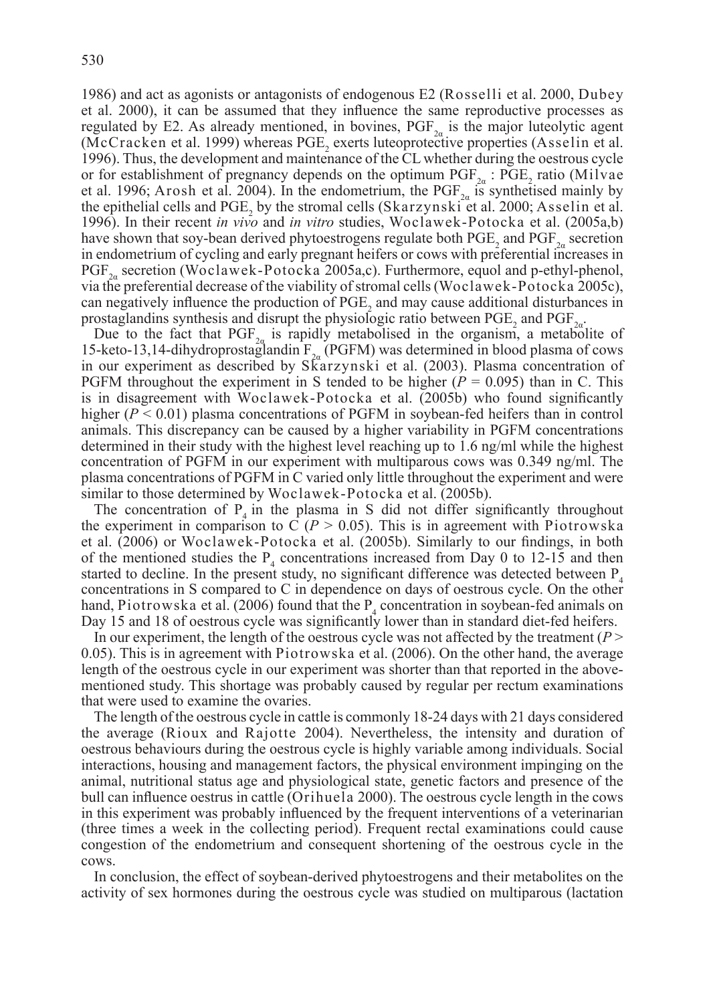1986) and act as agonists or antagonists of endogenous E2 (Rosselli et al. 2000, Dubey et al. 2000), it can be assumed that they influence the same reproductive processes as regulated by E2. As already mentioned, in bovines,  $PGF_{2a}$  is the major luteolytic agent (McCracken et al. 1999) whereas  $PGE_2$  exerts luteoprotective properties (Asselin et al. 1996). Thus, the development and maintenance of the CL whether during the oestrous cycle or for establishment of pregnancy depends on the optimum  $PGF_{2\alpha}$ :  $PGE_2$  ratio (Milvae) et al. 1996; Arosh et al. 2004). In the endometrium, the PGF<sub>2a</sub> is synthetised mainly by the epithelial cells and  $PGE_2$  by the stromal cells (Skarzynski et al. 2000; Asselin et al. 1996). In their recent *in vivo* and *in vitro* studies, Woclawek-Potocka et al. (2005a,b) have shown that soy-bean derived phytoestrogens regulate both  $PGE_2$  and  $PGF_{2a}$  secretion in endometrium of cycling and early pregnant heifers or cows with preferential increases in  $PGF_{2a}$  secretion (Woclawek-Potocka 2005a,c). Furthermore, equol and p-ethyl-phenol, via the preferential decrease of the viability of stromal cells (Woclawek-Potocka 2005c), can negatively influence the production of  $PGE_2$  and may cause additional disturbances in prostaglandins synthesis and disrupt the physiologic ratio between  $PGE_2$  and  $PGF_{2\alpha}$ .

Due to the fact that PGF<sub>2</sub> is rapidly metabolised in the organism, a metabolite of 15-keto-13,14-dihydroprostaglandin  $F_{2a}$  (PGFM) was determined in blood plasma of cows in our experiment as described by Skarzynski et al. (2003). Plasma concentration of PGFM throughout the experiment in S tended to be higher  $(P = 0.095)$  than in C. This is in disagreement with Woclawek-Potocka et al. (2005b) who found significantly higher  $(P < 0.01)$  plasma concentrations of PGFM in soybean-fed heifers than in control animals. This discrepancy can be caused by a higher variability in PGFM concentrations determined in their study with the highest level reaching up to 1.6 ng/ml while the highest concentration of PGFM in our experiment with multiparous cows was 0.349 ng/ml. The plasma concentrations of PGFM in C varied only little throughout the experiment and were similar to those determined by Woclawek-Potocka et al. (2005b).

The concentration of  $P_4$  in the plasma in S did not differ significantly throughout the experiment in comparison to  $\overline{C}$  ( $P > 0.05$ ). This is in agreement with Piotrowska et al. (2006) or Woclawek-Potocka et al. (2005b). Similarly to our findings, in both of the mentioned studies the  $P_4$  concentrations increased from Day 0 to 12-15 and then started to decline. In the present study, no significant difference was detected between  $P_{4}$ concentrations in S compared to C in dependence on days of oestrous cycle. On the other hand, Piotrowska et al. (2006) found that the  $P_4$  concentration in soybean-fed animals on Day 15 and 18 of oestrous cycle was significantly lower than in standard diet-fed heifers.

In our experiment, the length of the oestrous cycle was not affected by the treatment ( $P$  > 0.05). This is in agreement with Piotrowska et al. (2006). On the other hand, the average length of the oestrous cycle in our experiment was shorter than that reported in the abovementioned study. This shortage was probably caused by regular per rectum examinations that were used to examine the ovaries.

The length of the oestrous cycle in cattle is commonly 18-24 days with 21 days considered the average (Rioux and Rajotte 2004). Nevertheless, the intensity and duration of oestrous behaviours during the oestrous cycle is highly variable among individuals. Social interactions, housing and management factors, the physical environment impinging on the animal, nutritional status age and physiological state, genetic factors and presence of the bull can influence oestrus in cattle (Orihuela 2000). The oestrous cycle length in the cows in this experiment was probably influenced by the frequent interventions of a veterinarian (three times a week in the collecting period). Frequent rectal examinations could cause congestion of the endometrium and consequent shortening of the oestrous cycle in the cows.

In conclusion, the effect of soybean-derived phytoestrogens and their metabolites on the activity of sex hormones during the oestrous cycle was studied on multiparous (lactation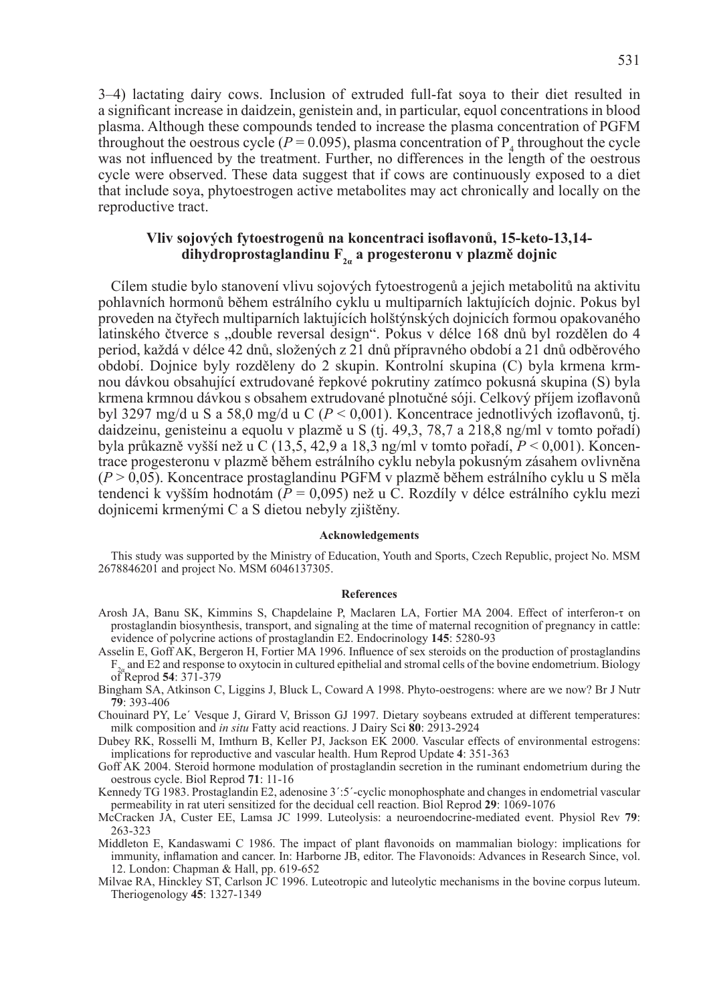3–4) lactating dairy cows. Inclusion of extruded full-fat soya to their diet resulted in a significant increase in daidzein, genistein and, in particular, equol concentrations in blood plasma. Although these compounds tended to increase the plasma concentration of PGFM throughout the oestrous cycle ( $P = 0.095$ ), plasma concentration of  $P_4$  throughout the cycle was not influenced by the treatment. Further, no differences in the length of the oestrous cycle were observed. These data suggest that if cows are continuously exposed to a diet that include soya, phytoestrogen active metabolites may act chronically and locally on the reproductive tract.

# **Vliv sojových fytoestrogenů na koncentraci isoflavonů, 15-keto-13,14 dihydroprostaglandinu F2<sup>α</sup> a progesteronu v plazmě dojnic**

Cílem studie bylo stanovení vlivu sojových fytoestrogenů a jejich metabolitů na aktivitu pohlavních hormonů během estrálního cyklu u multiparních laktujících dojnic. Pokus byl proveden na čtyřech multiparních laktujících holštýnských dojnicích formou opakovaného latinského čtverce s "double reversal design". Pokus v délce 168 dnů byl rozdělen do 4 period, každá v délce 42 dnů, složených z 21 dnů přípravného období a 21 dnů odběrového období. Dojnice byly rozděleny do 2 skupin. Kontrolní skupina (C) byla krmena krmnou dávkou obsahující extrudované řepkové pokrutiny zatímco pokusná skupina (S) byla krmena krmnou dávkou s obsahem extrudované plnotučné sóji. Celkový příjem izoflavonů byl 3297 mg/d u S a 58,0 mg/d u C (*P* < 0,001). Koncentrace jednotlivých izoflavonů, tj. daidzeinu, genisteinu a equolu v plazmě u S (tj. 49,3, 78,7 a 218,8 ng/ml v tomto pořadí) byla průkazně vyšší než u C (13,5, 42,9 a 18,3 ng/ml v tomto pořadí, *P* < 0,001). Koncentrace progesteronu v plazmě během estrálního cyklu nebyla pokusným zásahem ovlivněna (*P* > 0,05). Koncentrace prostaglandinu PGFM v plazmě během estrálního cyklu u S měla tendenci k vyšším hodnotám (*P* = 0,095) než u C. Rozdíly v délce estrálního cyklu mezi dojnicemi krmenými C a S dietou nebyly zjištěny.

## **acknowledgements**

This study was supported by the Ministry of Education, Youth and Sports, Czech Republic, project No. MSM 2678846201 and project No. MSM 6046137305.

#### **References**

- Arosh JA, Banu SK, Kimmins S, Chapdelaine P, Maclaren LA, Fortier MA 2004. Effect of interferon-τ on prostaglandin biosynthesis, transport, and signaling at the time of maternal recognition of pregnancy in cattle: evidence of polycrine actions of prostaglandin E2. Endocrinology **145**: 5280-93
- Asselin E, Goff AK, Bergeron H, Fortier MA 1996. Influence of sex steroids on the production of prostaglandins  $F_{\frac{2a}{3a}}$  and E2 and response to oxytocin in cultured epithelial and stromal cells of the bovine endometrium. Biology of Reprod **54**: 371-379
- Bingham SA, Atkinson C, Liggins J, Bluck L, Coward A 1998. Phyto-oestrogens: where are we now? Br J Nutr **79**: 393-406
- Chouinard PY, Le´ Vesque J, Girard V, Brisson GJ 1997. Dietary soybeans extruded at different temperatures: milk composition and *in situ* Fatty acid reactions. J Dairy Sci **80**: 2913-2924
- Dubey RK, Rosselli M, Imthurn B, Keller PJ, Jackson EK 2000. Vascular effects of environmental estrogens: implications for reproductive and vascular health. Hum Reprod Update **4**: 351-363
- Goff AK 2004. Steroid hormone modulation of prostaglandin secretion in the ruminant endometrium during the oestrous cycle. Biol Reprod **71**: 11-16
- Kennedy TG 1983. Prostaglandin E2, adenosine 3':5'-cyclic monophosphate and changes in endometrial vascular permeability in rat uteri sensitized for the decidual cell reaction. Biol Reprod **29**: 1069-1076
- McCracken JA, Custer EE, Lamsa JC 1999. Luteolysis: a neuroendocrine-mediated event. Physiol Rev **79**: 263-323
- Middleton E, Kandaswami C 1986. The impact of plant flavonoids on mammalian biology: implications for immunity, inflamation and cancer. In: Harborne JB, editor. The Flavonoids: Advances in Research Since, vol. 12. London: Chapman & Hall, pp. 619-652
- Milvae RA, Hinckley ST, Carlson JC 1996. Luteotropic and luteolytic mechanisms in the bovine corpus luteum. Theriogenology **45**: 1327-1349